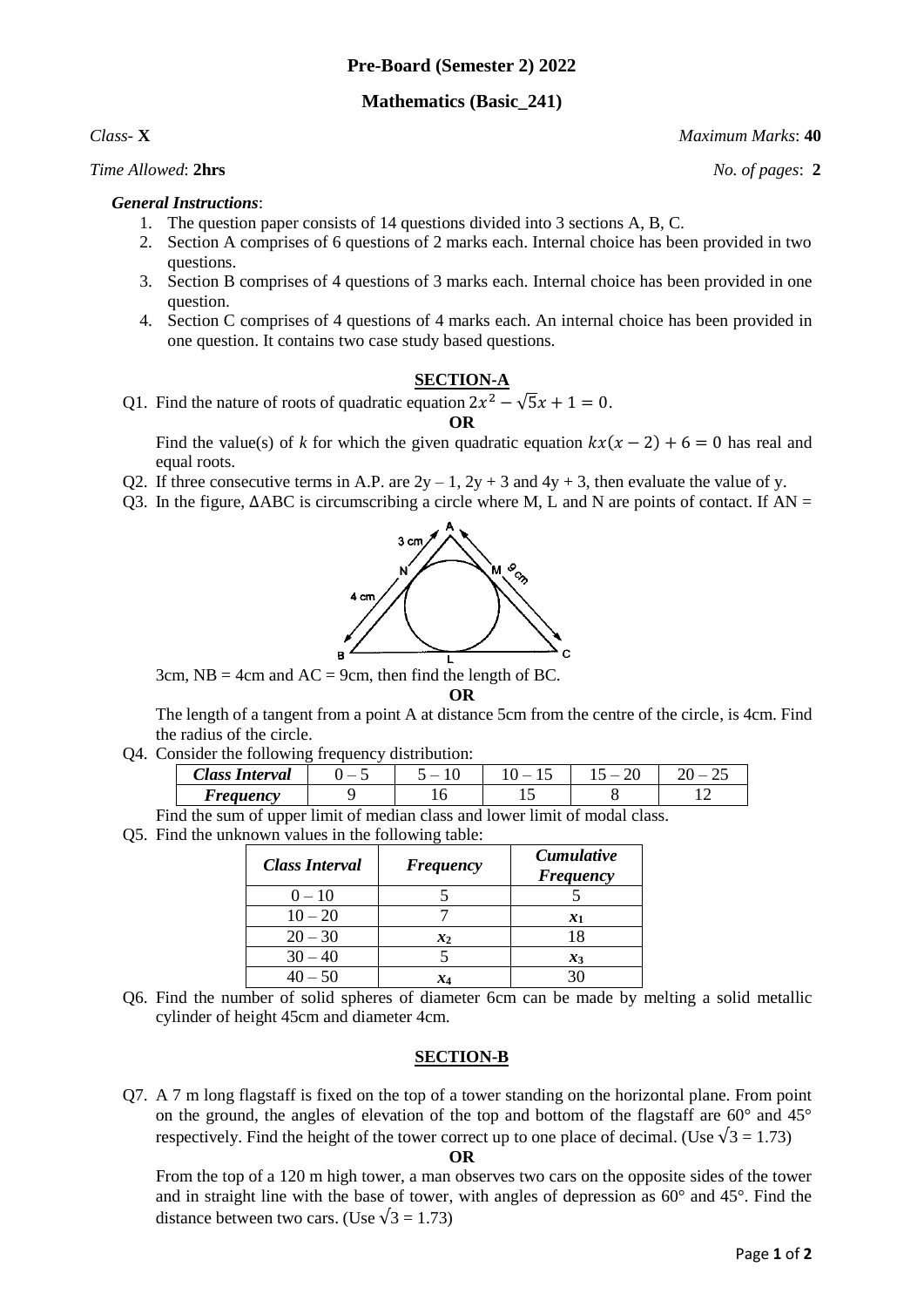# **Pre-Board (Semester 2) 2022**

# **Mathematics (Basic\_241)**

## *Time Allowed*: **2hrs** *No. of pages*: **2**

## *General Instructions*:

- 1. The question paper consists of 14 questions divided into 3 sections A, B, C.
- 2. Section A comprises of 6 questions of 2 marks each. Internal choice has been provided in two questions.
- 3. Section B comprises of 4 questions of 3 marks each. Internal choice has been provided in one question.
- 4. Section C comprises of 4 questions of 4 marks each. An internal choice has been provided in one question. It contains two case study based questions.

#### **SECTION-A**

Q1. Find the nature of roots of quadratic equation  $2x^2 - \sqrt{5}x + 1 = 0$ . **OR**

Find the value(s) of *k* for which the given quadratic equation  $kx(x - 2) + 6 = 0$  has real and equal roots.

- Q2. If three consecutive terms in A.P. are  $2y 1$ ,  $2y + 3$  and  $4y + 3$ , then evaluate the value of y.
- Q3. In the figure,  $\triangle$ ABC is circumscribing a circle where M, L and N are points of contact. If AN =



3cm,  $NB = 4$ cm and  $AC = 9$ cm, then find the length of BC.

**OR**

The length of a tangent from a point A at distance 5cm from the centre of the circle, is 4cm. Find the radius of the circle.

Q4. Consider the following frequency distribution:

| $\sim$<br>$\mathcal{L}$ lass<br>'nterval | $\overline{\phantom{a}}$ | $\overline{\phantom{a}}$ | $\overline{\phantom{a}}$<br>. . | n۵<br>⊷ | $\overline{\phantom{a}}$<br>-- |
|------------------------------------------|--------------------------|--------------------------|---------------------------------|---------|--------------------------------|
| <i>Areauency</i>                         |                          | ີ                        | ⊥⊷                              |         |                                |

Find the sum of upper limit of median class and lower limit of modal class.

Q5. Find the unknown values in the following table:

| <b>Class Interval</b> | <b>Frequency</b> | <b>Cumulative</b><br><b>Frequency</b> |  |
|-----------------------|------------------|---------------------------------------|--|
| $0 - 10$              |                  |                                       |  |
| $10 - 20$             |                  | $\mathbf{x}_1$                        |  |
| $20 - 30$             | $x_2$            | 18                                    |  |
| $30 - 40$             |                  | $x_3$                                 |  |
| $40 - 50$             | X4               | 30                                    |  |

Q6. Find the number of solid spheres of diameter 6cm can be made by melting a solid metallic cylinder of height 45cm and diameter 4cm.

## **SECTION-B**

Q7. A 7 m long flagstaff is fixed on the top of a tower standing on the horizontal plane. From point on the ground, the angles of elevation of the top and bottom of the flagstaff are  $60^{\circ}$  and  $45^{\circ}$ respectively. Find the height of the tower correct up to one place of decimal. (Use  $\sqrt{3} = 1.73$ )

#### **OR**

From the top of a 120 m high tower, a man observes two cars on the opposite sides of the tower and in straight line with the base of tower, with angles of depression as 60° and 45°. Find the distance between two cars. (Use  $\sqrt{3} = 1.73$ )

*Class-* **X** *Maximum Marks*: **40**